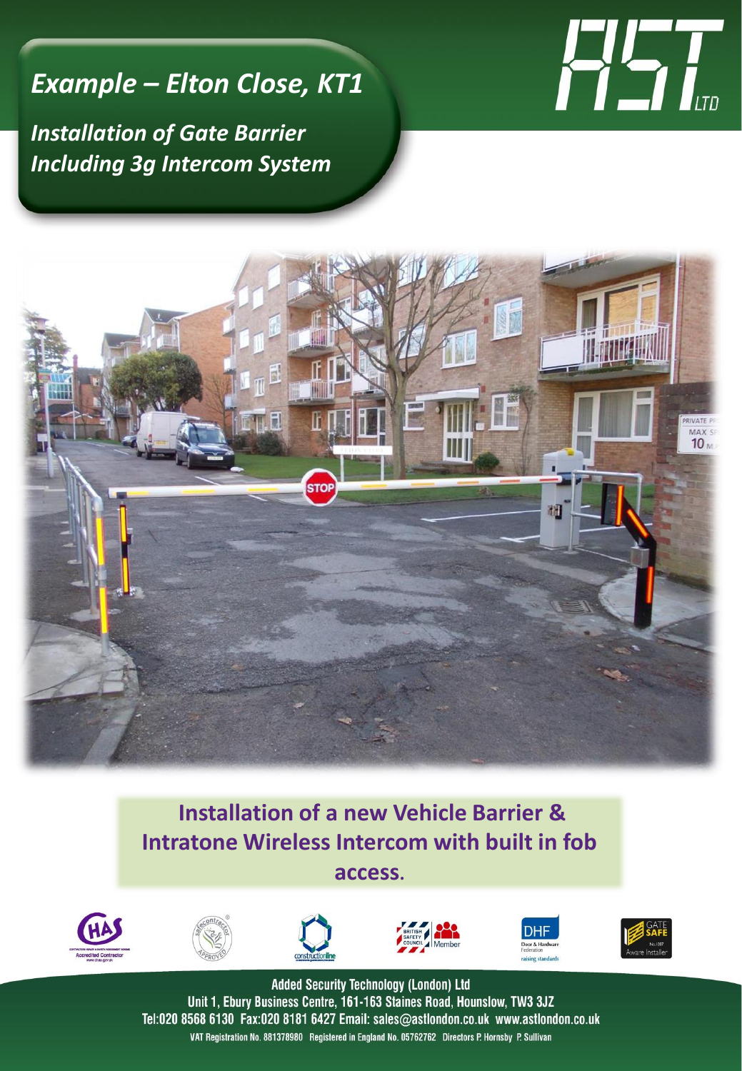## *Example – Elton Close, KT1*

*Installation of Gate Barrier Including 3g Intercom System*





## **Installation of a new Vehicle Barrier & Intratone Wireless Intercom with built in fob access.**













**Added Security Technology (London) Ltd** Unit 1, Ebury Business Centre, 161-163 Staines Road, Hounslow, TW3 3JZ Tel:020 8568 6130 Fax:020 8181 6427 Email: sales@astlondon.co.uk www.astlondon.co.uk VAT Registration No. 881378980 Registered in England No. 05762762 Directors P. Hornsby P. Sullivan